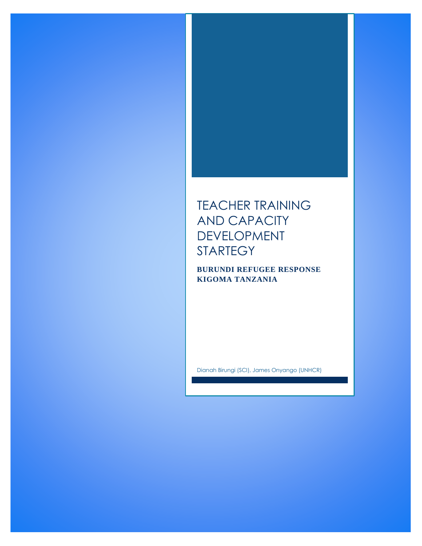# TEACHER TRAINING AND CAPACITY DEVELOPMENT STARTEGY

**BURUNDI REFUGEE RESPONSE KIGOMA TANZANIA**

Dianah Birungi (SCI), James Onyango (UNHCR)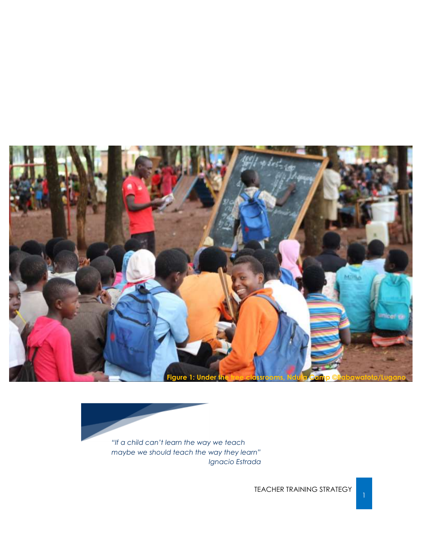



TEACHER TRAINING STRATEGY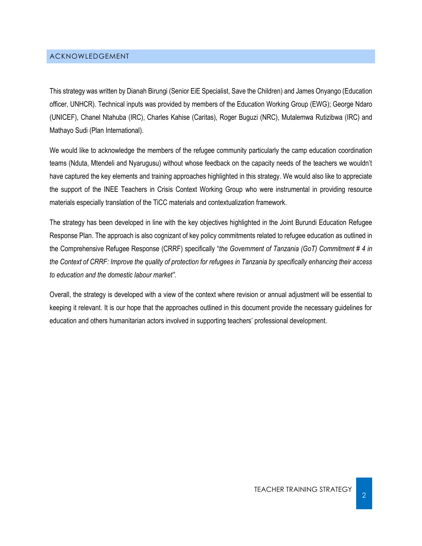#### <span id="page-2-0"></span>ACKNOWLEDGEMENT

This strategy was written by Dianah Birungi (Senior EiE Specialist, Save the Children) and James Onyango (Education officer, UNHCR). Technical inputs was provided by members of the Education Working Group (EWG); George Ndaro (UNICEF), Chanel Ntahuba (IRC), Charles Kahise (Caritas), Roger Buguzi (NRC), Mutalemwa Rutizibwa (IRC) and Mathayo Sudi (Plan International).

We would like to acknowledge the members of the refugee community particularly the camp education coordination teams (Nduta, Mtendeli and Nyarugusu) without whose feedback on the capacity needs of the teachers we wouldn't have captured the key elements and training approaches highlighted in this strategy. We would also like to appreciate the support of the INEE Teachers in Crisis Context Working Group who were instrumental in providing resource materials especially translation of the TiCC materials and contextualization framework.

The strategy has been developed in line with the key objectives highlighted in the Joint Burundi Education Refugee Response Plan. The approach is also cognizant of key policy commitments related to refugee education as outlined in the Comprehensive Refugee Response (CRRF) specifically "*the Government of Tanzania (GoT) Commitment # 4 in the Context of CRRF: Improve the quality of protection for refugees in Tanzania by specifically enhancing their access to education and the domestic labour market"*.

Overall, the strategy is developed with a view of the context where revision or annual adjustment will be essential to keeping it relevant. It is our hope that the approaches outlined in this document provide the necessary guidelines for education and others humanitarian actors involved in supporting teachers' professional development.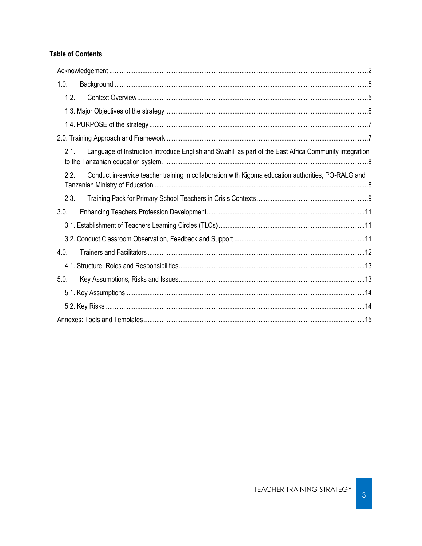#### **Table of Contents**

| 1.0.                                                                                                           |  |
|----------------------------------------------------------------------------------------------------------------|--|
| 1.2.                                                                                                           |  |
|                                                                                                                |  |
|                                                                                                                |  |
|                                                                                                                |  |
| Language of Instruction Introduce English and Swahili as part of the East Africa Community integration<br>2.1. |  |
| 2.2.<br>Conduct in-service teacher training in collaboration with Kigoma education authorities, PO-RALG and    |  |
| 2.3.                                                                                                           |  |
| 3.0.                                                                                                           |  |
|                                                                                                                |  |
|                                                                                                                |  |
| 4.0.                                                                                                           |  |
|                                                                                                                |  |
| 5.0.                                                                                                           |  |
|                                                                                                                |  |
|                                                                                                                |  |
|                                                                                                                |  |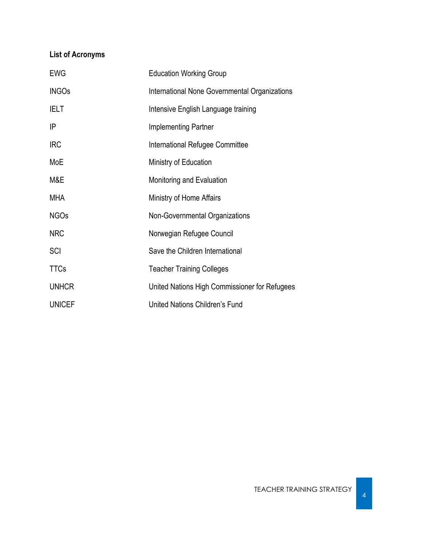## **List of Acronyms**

| <b>EWG</b>    | <b>Education Working Group</b>                |
|---------------|-----------------------------------------------|
| <b>INGOs</b>  | International None Governmental Organizations |
| <b>IELT</b>   | Intensive English Language training           |
| ΙP            | <b>Implementing Partner</b>                   |
| <b>IRC</b>    | International Refugee Committee               |
| MoE           | Ministry of Education                         |
| M&E           | Monitoring and Evaluation                     |
| MHA           | Ministry of Home Affairs                      |
| <b>NGOs</b>   | Non-Governmental Organizations                |
| <b>NRC</b>    | Norwegian Refugee Council                     |
| SCI           | Save the Children International               |
| <b>TTCs</b>   | <b>Teacher Training Colleges</b>              |
| <b>UNHCR</b>  | United Nations High Commissioner for Refugees |
| <b>UNICEF</b> | United Nations Children's Fund                |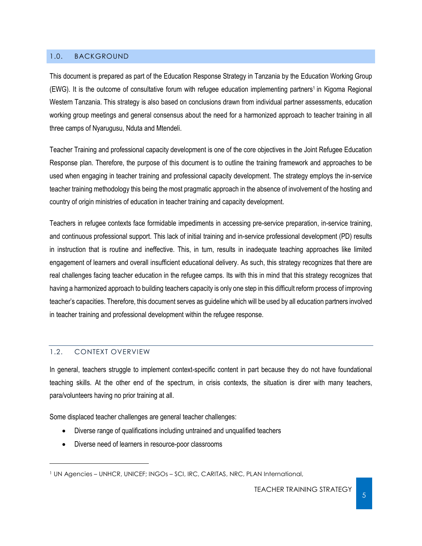#### <span id="page-5-0"></span>1.0. BACKGROUND

This document is prepared as part of the Education Response Strategy in Tanzania by the Education Working Group (EWG). It is the outcome of consultative forum with refugee education implementing partners<sup>1</sup> in Kigoma Regional Western Tanzania. This strategy is also based on conclusions drawn from individual partner assessments, education working group meetings and general consensus about the need for a harmonized approach to teacher training in all three camps of Nyarugusu, Nduta and Mtendeli.

Teacher Training and professional capacity development is one of the core objectives in the Joint Refugee Education Response plan. Therefore, the purpose of this document is to outline the training framework and approaches to be used when engaging in teacher training and professional capacity development. The strategy employs the in-service teacher training methodology this being the most pragmatic approach in the absence of involvement of the hosting and country of origin ministries of education in teacher training and capacity development.

Teachers in refugee contexts face formidable impediments in accessing pre-service preparation, in-service training, and continuous professional support. This lack of initial training and in-service professional development (PD) results in instruction that is routine and ineffective. This, in turn, results in inadequate teaching approaches like limited engagement of learners and overall insufficient educational delivery. As such, this strategy recognizes that there are real challenges facing teacher education in the refugee camps. Its with this in mind that this strategy recognizes that having a harmonized approach to building teachers capacity is only one step in this difficult reform process of improving teacher's capacities. Therefore, this document serves as guideline which will be used by all education partners involved in teacher training and professional development within the refugee response.

#### <span id="page-5-1"></span>1.2. CONTEXT OVERVIEW

l

In general, teachers struggle to implement context-specific content in part because they do not have foundational teaching skills. At the other end of the spectrum, in crisis contexts, the situation is direr with many teachers, para/volunteers having no prior training at all.

Some displaced teacher challenges are general teacher challenges:

- Diverse range of qualifications including untrained and unqualified teachers
- Diverse need of learners in resource-poor classrooms

<sup>&</sup>lt;sup>1</sup> UN Agencies – UNHCR, UNICEF; INGOs – SCI, IRC, CARITAS, NRC, PLAN International,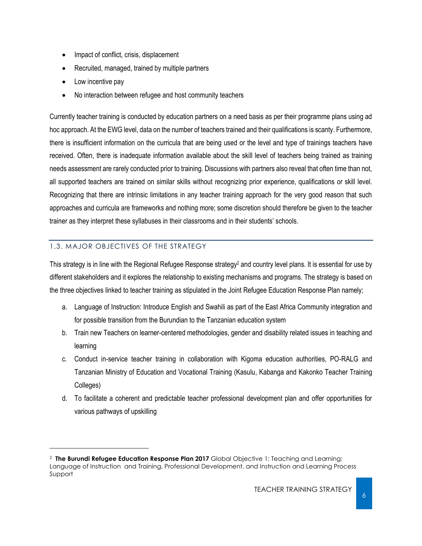- Impact of conflict, crisis, displacement
- Recruited, managed, trained by multiple partners
- Low incentive pay

l

No interaction between refugee and host community teachers

Currently teacher training is conducted by education partners on a need basis as per their programme plans using ad hoc approach. At the EWG level, data on the number of teachers trained and their qualifications is scanty. Furthermore, there is insufficient information on the curricula that are being used or the level and type of trainings teachers have received. Often, there is inadequate information available about the skill level of teachers being trained as training needs assessment are rarely conducted prior to training. Discussions with partners also reveal that often time than not, all supported teachers are trained on similar skills without recognizing prior experience, qualifications or skill level. Recognizing that there are intrinsic limitations in any teacher training approach for the very good reason that such approaches and curricula are frameworks and nothing more; some discretion should therefore be given to the teacher trainer as they interpret these syllabuses in their classrooms and in their students' schools.

### <span id="page-6-0"></span>1.3. MAJOR OBJECTIVES OF THE STRATEGY

This strategy is in line with the Regional Refugee Response strategy<sup>2</sup> and country level plans. It is essential for use by different stakeholders and it explores the relationship to existing mechanisms and programs. The strategy is based on the three objectives linked to teacher training as stipulated in the Joint Refugee Education Response Plan namely;

- a. Language of Instruction: Introduce English and Swahili as part of the East Africa Community integration and for possible transition from the Burundian to the Tanzanian education system
- b. Train new Teachers on learner-centered methodologies, gender and disability related issues in teaching and learning
- c. Conduct in-service teacher training in collaboration with Kigoma education authorities, PO-RALG and Tanzanian Ministry of Education and Vocational Training (Kasulu, Kabanga and Kakonko Teacher Training Colleges)
- d. To facilitate a coherent and predictable teacher professional development plan and offer opportunities for various pathways of upskilling

<sup>2</sup> **The Burundi Refugee Education Response Plan 2017** Global Objective 1: Teaching and Learning: Language of Instruction and Training, Professional Development, and Instruction and Learning Process Support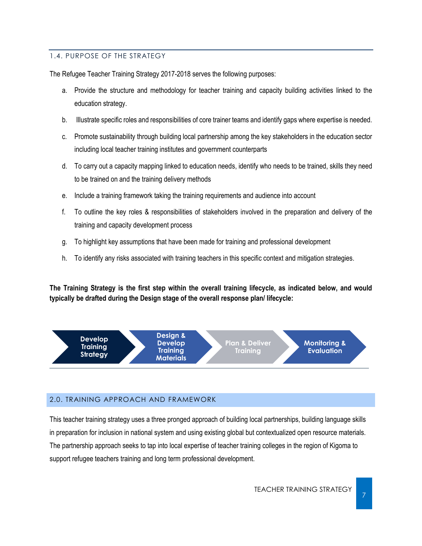#### <span id="page-7-0"></span>1.4. PURPOSE OF THE STRATEGY

The Refugee Teacher Training Strategy 2017-2018 serves the following purposes:

- a. Provide the structure and methodology for teacher training and capacity building activities linked to the education strategy.
- b. Illustrate specific roles and responsibilities of core trainer teams and identify gaps where expertise is needed.
- c. Promote sustainability through building local partnership among the key stakeholders in the education sector including local teacher training institutes and government counterparts
- d. To carry out a capacity mapping linked to education needs, identify who needs to be trained, skills they need to be trained on and the training delivery methods
- e. Include a training framework taking the training requirements and audience into account
- f. To outline the key roles & responsibilities of stakeholders involved in the preparation and delivery of the training and capacity development process
- g. To highlight key assumptions that have been made for training and professional development
- h. To identify any risks associated with training teachers in this specific context and mitigation strategies.

**The Training Strategy is the first step within the overall training lifecycle, as indicated below, and would typically be drafted during the Design stage of the overall response plan/ lifecycle:**



#### <span id="page-7-1"></span>2.0. TRAINING APPROACH AND FRAMEWORK

This teacher training strategy uses a three pronged approach of building local partnerships, building language skills in preparation for inclusion in national system and using existing global but contextualized open resource materials. The partnership approach seeks to tap into local expertise of teacher training colleges in the region of Kigoma to support refugee teachers training and long term professional development.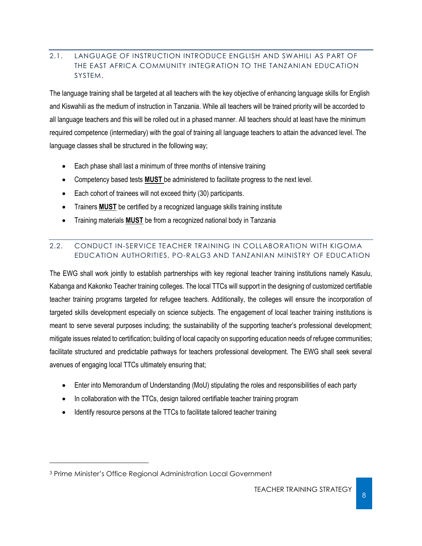#### <span id="page-8-0"></span>2.1. LANGUAGE OF INSTRUCTION INTRODUCE ENGLISH AND SWAHILI AS PART OF THE EAST AFRICA COMMUNITY INTEGRATION TO THE TANZANIAN EDUCATION SYSTEM.

The language training shall be targeted at all teachers with the key objective of enhancing language skills for English and Kiswahili as the medium of instruction in Tanzania. While all teachers will be trained priority will be accorded to all language teachers and this will be rolled out in a phased manner. All teachers should at least have the minimum required competence (intermediary) with the goal of training all language teachers to attain the advanced level. The language classes shall be structured in the following way;

- Each phase shall last a minimum of three months of intensive training
- Competency based tests **MUST** be administered to facilitate progress to the next level.
- Each cohort of trainees will not exceed thirty (30) participants.
- Trainers **MUST** be certified by a recognized language skills training institute
- Training materials **MUST** be from a recognized national body in Tanzania

#### <span id="page-8-1"></span>2.2. CONDUCT IN-SERVICE TEACHER TRAINING IN COLLABORATION WITH KIGOMA EDUCATION AUTHORITIES, PO-RALG3 AND TANZANIAN MINISTRY OF EDUCATION

The EWG shall work jointly to establish partnerships with key regional teacher training institutions namely Kasulu, Kabanga and Kakonko Teacher training colleges. The local TTCs will support in the designing of customized certifiable teacher training programs targeted for refugee teachers. Additionally, the colleges will ensure the incorporation of targeted skills development especially on science subjects. The engagement of local teacher training institutions is meant to serve several purposes including; the sustainability of the supporting teacher's professional development; mitigate issues related to certification; building of local capacity on supporting education needs of refugee communities; facilitate structured and predictable pathways for teachers professional development. The EWG shall seek several avenues of engaging local TTCs ultimately ensuring that;

- Enter into Memorandum of Understanding (MoU) stipulating the roles and responsibilities of each party
- In collaboration with the TTCs, design tailored certifiable teacher training program
- Identify resource persons at the TTCs to facilitate tailored teacher training

l

<sup>3</sup> Prime Minister's Office Regional Administration Local Government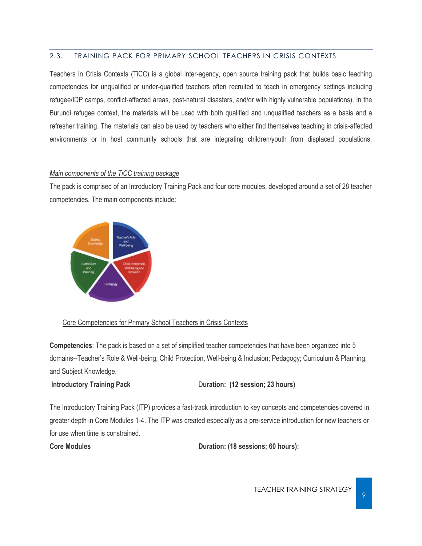#### <span id="page-9-0"></span>2.3. TRAINING PACK FOR PRIMARY SCHOOL TEACHERS IN CRISIS CONTEXTS

Teachers in Crisis Contexts (TiCC) is a global inter-agency, open source training pack that builds basic teaching competencies for unqualified or under-qualified teachers often recruited to teach in emergency settings including refugee/IDP camps, conflict-affected areas, post-natural disasters, and/or with highly vulnerable populations). In the Burundi refugee context, the materials will be used with both qualified and unqualified teachers as a basis and a refresher training. The materials can also be used by teachers who either find themselves teaching in crisis-affected environments or in host community schools that are integrating children/youth from displaced populations.

#### *Main components of the TiCC training package*

The pack is comprised of an Introductory Training Pack and four core modules, developed around a set of 28 teacher competencies. The main components include:



#### Core Competencies for Primary School Teachers in Crisis Contexts

**Competencies**: The pack is based on a set of simplified teacher competencies that have been organized into 5 domains--Teacher's Role & Well-being; Child Protection, Well-being & Inclusion; Pedagogy; Curriculum & Planning; and Subject Knowledge.

#### **Introductory Training Pack Duration: (12 session; 23 hours)**

The Introductory Training Pack (ITP) provides a fast-track introduction to key concepts and competencies covered in greater depth in Core Modules 1-4. The ITP was created especially as a pre-service introduction for new teachers or for use when time is constrained.

**Core Modules Duration: (18 sessions; 60 hours):**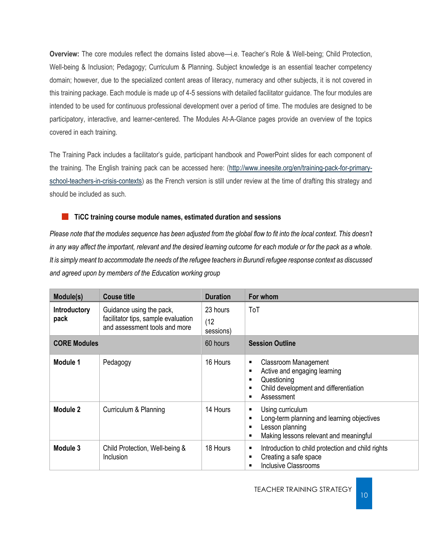**Overview:** The core modules reflect the domains listed above—i.e. Teacher's Role & Well-being; Child Protection, Well-being & Inclusion; Pedagogy; Curriculum & Planning. Subject knowledge is an essential teacher competency domain; however, due to the specialized content areas of literacy, numeracy and other subjects, it is not covered in this training package. Each module is made up of 4-5 sessions with detailed facilitator guidance. The four modules are intended to be used for continuous professional development over a period of time. The modules are designed to be participatory, interactive, and learner-centered. The Modules At-A-Glance pages provide an overview of the topics covered in each training.

The Training Pack includes a facilitator's guide, participant handbook and PowerPoint slides for each component of the training. The English training pack can be accessed here: [\(http://www.ineesite.org/en/training-pack-for-primary](http://www.ineesite.org/en/training-pack-for-primary-school-teachers-in-crisis-contexts)[school-teachers-in-crisis-contexts\)](http://www.ineesite.org/en/training-pack-for-primary-school-teachers-in-crisis-contexts) as the French version is still under review at the time of drafting this strategy and should be included as such.

#### **TiCC training course module names, estimated duration and sessions** H.

*Please note that the modules sequence has been adjusted from the global flow to fit into the local context. This doesn't in any way affect the important, relevant and the desired learning outcome for each module or for the pack as a whole. It is simply meant to accommodate the needs of the refugee teachers in Burundi refugee response context as discussed and agreed upon by members of the Education working group*

| Module(s)                   | <b>Couse title</b>                                                                               | <b>Duration</b>               | For whom                                                                                                                                                     |
|-----------------------------|--------------------------------------------------------------------------------------------------|-------------------------------|--------------------------------------------------------------------------------------------------------------------------------------------------------------|
| <b>Introductory</b><br>pack | Guidance using the pack,<br>facilitator tips, sample evaluation<br>and assessment tools and more | 23 hours<br>(12)<br>sessions) | ToT                                                                                                                                                          |
| <b>CORE Modules</b>         |                                                                                                  | 60 hours                      | <b>Session Outline</b>                                                                                                                                       |
| Module 1                    | Pedagogy                                                                                         | 16 Hours                      | <b>Classroom Management</b><br>п<br>Active and engaging learning<br>п<br>Questioning<br>п<br>Child development and differentiation<br>п<br>Assessment<br>п   |
| Module 2                    | Curriculum & Planning                                                                            | 14 Hours                      | Using curriculum<br>п<br>Long-term planning and learning objectives<br>п<br>Lesson planning<br>■<br>Making lessons relevant and meaningful<br>$\blacksquare$ |
| Module 3                    | Child Protection, Well-being &<br>Inclusion                                                      | 18 Hours                      | Introduction to child protection and child rights<br>п<br>Creating a safe space<br>п<br><b>Inclusive Classrooms</b><br>■                                     |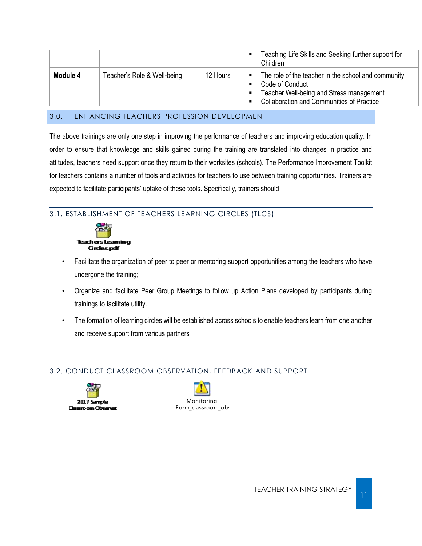|          |                             |          | Teaching Life Skills and Seeking further support for<br>Children                                                                                                                         |
|----------|-----------------------------|----------|------------------------------------------------------------------------------------------------------------------------------------------------------------------------------------------|
| Module 4 | Teacher's Role & Well-being | 12 Hours | The role of the teacher in the school and community<br>$\blacksquare$<br>Code of Conduct<br>Teacher Well-being and Stress management<br><b>Collaboration and Communities of Practice</b> |

#### <span id="page-11-0"></span>3.0. ENHANCING TEACHERS PROFESSION DEVELOPMENT

The above trainings are only one step in improving the performance of teachers and improving education quality. In order to ensure that knowledge and skills gained during the training are translated into changes in practice and attitudes, teachers need support once they return to their worksites (schools). The Performance Improvement Toolkit for teachers contains a number of tools and activities for teachers to use between training opportunities. Trainers are expected to facilitate participants' uptake of these tools. Specifically, trainers should

#### <span id="page-11-1"></span>3.1. ESTABLISHMENT OF TEACHERS LEARNING CIRCLES (TLCS)



- Facilitate the organization of peer to peer or mentoring support opportunities among the teachers who have undergone the training;
- Organize and facilitate Peer Group Meetings to follow up Action Plans developed by participants during trainings to facilitate utility.
- The formation of learning circles will be established across schools to enable teachers learn from one another and receive support from various partners

#### <span id="page-11-2"></span>3.2. CONDUCT CLASSROOM OBSERVATION, FEEDBACK AND SUPPORT



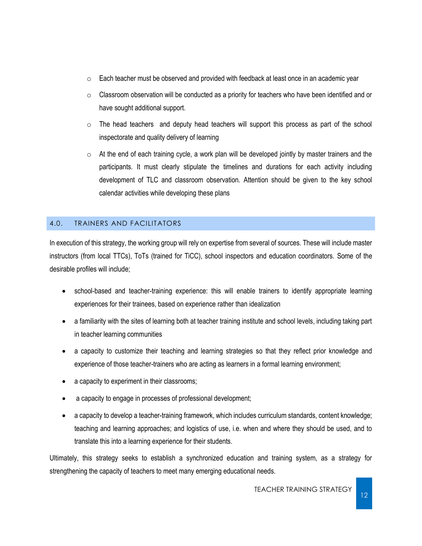- $\circ$  Each teacher must be observed and provided with feedback at least once in an academic year
- $\circ$  Classroom observation will be conducted as a priority for teachers who have been identified and or have sought additional support.
- $\circ$  The head teachers and deputy head teachers will support this process as part of the school inspectorate and quality delivery of learning
- $\circ$  At the end of each training cycle, a work plan will be developed jointly by master trainers and the participants. It must clearly stipulate the timelines and durations for each activity including development of TLC and classroom observation. Attention should be given to the key school calendar activities while developing these plans

### <span id="page-12-0"></span>4.0. TRAINERS AND FACILITATORS

In execution of this strategy, the working group will rely on expertise from several of sources. These will include master instructors (from local TTCs), ToTs (trained for TiCC), school inspectors and education coordinators. Some of the desirable profiles will include;

- school-based and teacher-training experience: this will enable trainers to identify appropriate learning experiences for their trainees, based on experience rather than idealization
- a familiarity with the sites of learning both at teacher training institute and school levels, including taking part in teacher learning communities
- a capacity to customize their teaching and learning strategies so that they reflect prior knowledge and experience of those teacher-trainers who are acting as learners in a formal learning environment;
- a capacity to experiment in their classrooms;
- a capacity to engage in processes of professional development;
- a capacity to develop a teacher-training framework, which includes curriculum standards, content knowledge; teaching and learning approaches; and logistics of use, i.e. when and where they should be used, and to translate this into a learning experience for their students.

Ultimately, this strategy seeks to establish a synchronized education and training system, as a strategy for strengthening the capacity of teachers to meet many emerging educational needs.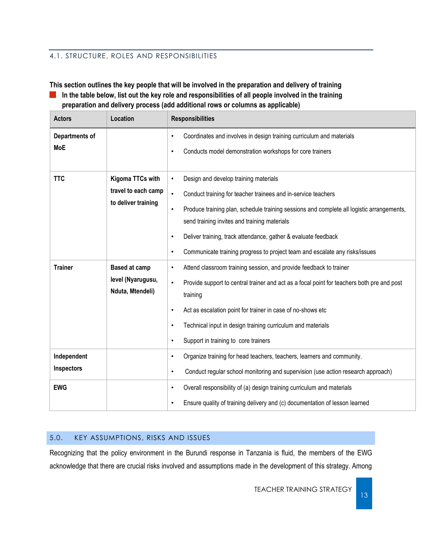#### <span id="page-13-0"></span>4.1. STRUCTURE, ROLES AND RESPONSIBILITIES

**This section outlines the key people that will be involved in the preparation and delivery of training In the table below, list out the key role and responsibilities of all people involved in the training preparation and delivery process (add additional rows or columns as applicable)**

| <b>Actors</b>                | Location                                                       | <b>Responsibilities</b>                                                                                                                                                                                                                                                                                                                                                                                                                                               |
|------------------------------|----------------------------------------------------------------|-----------------------------------------------------------------------------------------------------------------------------------------------------------------------------------------------------------------------------------------------------------------------------------------------------------------------------------------------------------------------------------------------------------------------------------------------------------------------|
| Departments of<br><b>MoE</b> |                                                                | Coordinates and involves in design training curriculum and materials<br>$\bullet$<br>Conducts model demonstration workshops for core trainers<br>$\bullet$                                                                                                                                                                                                                                                                                                            |
| <b>TTC</b>                   | Kigoma TTCs with<br>travel to each camp<br>to deliver training | Design and develop training materials<br>$\bullet$<br>$\bullet$<br>Conduct training for teacher trainees and in-service teachers<br>Produce training plan, schedule training sessions and complete all logistic arrangements,<br>$\bullet$<br>send training invites and training materials<br>Deliver training, track attendance, gather & evaluate feedback<br>$\bullet$<br>Communicate training progress to project team and escalate any risks/issues<br>$\bullet$ |
| <b>Trainer</b>               | <b>Based at camp</b><br>level (Nyarugusu,<br>Nduta, Mtendeli)  | Attend classroom training session, and provide feedback to trainer<br>$\bullet$<br>Provide support to central trainer and act as a focal point for teachers both pre and post<br>$\bullet$<br>training<br>Act as escalation point for trainer in case of no-shows etc<br>$\bullet$<br>Technical input in design training curriculum and materials<br>$\bullet$<br>Support in training to core trainers<br>$\bullet$                                                   |
| Independent<br>Inspectors    |                                                                | Organize training for head teachers, teachers, learners and community.<br>$\bullet$<br>Conduct regular school monitoring and supervision (use action research approach)<br>$\bullet$                                                                                                                                                                                                                                                                                  |
| <b>EWG</b>                   |                                                                | Overall responsibility of (a) design training curriculum and materials<br>$\bullet$<br>Ensure quality of training delivery and (c) documentation of lesson learned<br>$\bullet$                                                                                                                                                                                                                                                                                       |

#### <span id="page-13-1"></span>5.0. KEY ASSUMPTIONS, RISKS AND ISSUES

Recognizing that the policy environment in the Burundi response in Tanzania is fluid, the members of the EWG acknowledge that there are crucial risks involved and assumptions made in the development of this strategy. Among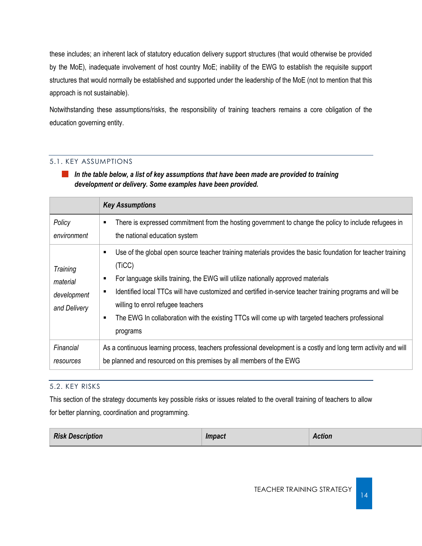these includes; an inherent lack of statutory education delivery support structures (that would otherwise be provided by the MoE), inadequate involvement of host country MoE; inability of the EWG to establish the requisite support structures that would normally be established and supported under the leadership of the MoE (not to mention that this approach is not sustainable).

Notwithstanding these assumptions/risks, the responsibility of training teachers remains a core obligation of the education governing entity.

### <span id="page-14-0"></span>5.1. KEY ASSUMPTIONS

*In the table below, a list of key assumptions that have been made are provided to training development or delivery. Some examples have been provided.*

|                                                     | <b>Key Assumptions</b>                                                                                                                                                                                                                                                                                                                                                                                                                                                                                       |
|-----------------------------------------------------|--------------------------------------------------------------------------------------------------------------------------------------------------------------------------------------------------------------------------------------------------------------------------------------------------------------------------------------------------------------------------------------------------------------------------------------------------------------------------------------------------------------|
| Policy<br>environment                               | There is expressed commitment from the hosting government to change the policy to include refugees in<br>$\blacksquare$<br>the national education system                                                                                                                                                                                                                                                                                                                                                     |
| Training<br>material<br>development<br>and Delivery | Use of the global open source teacher training materials provides the basic foundation for teacher training<br>٠<br>(TiCC)<br>For language skills training, the EWG will utilize nationally approved materials<br>٠<br>Identified local TTCs will have customized and certified in-service teacher training programs and will be<br>$\blacksquare$<br>willing to enrol refugee teachers<br>The EWG In collaboration with the existing TTCs will come up with targeted teachers professional<br>٠<br>programs |
| Financial<br>resources                              | As a continuous learning process, teachers professional development is a costly and long term activity and will<br>be planned and resourced on this premises by all members of the EWG                                                                                                                                                                                                                                                                                                                       |

#### <span id="page-14-1"></span>5.2. KEY RISKS

This section of the strategy documents key possible risks or issues related to the overall training of teachers to allow for better planning, coordination and programming.